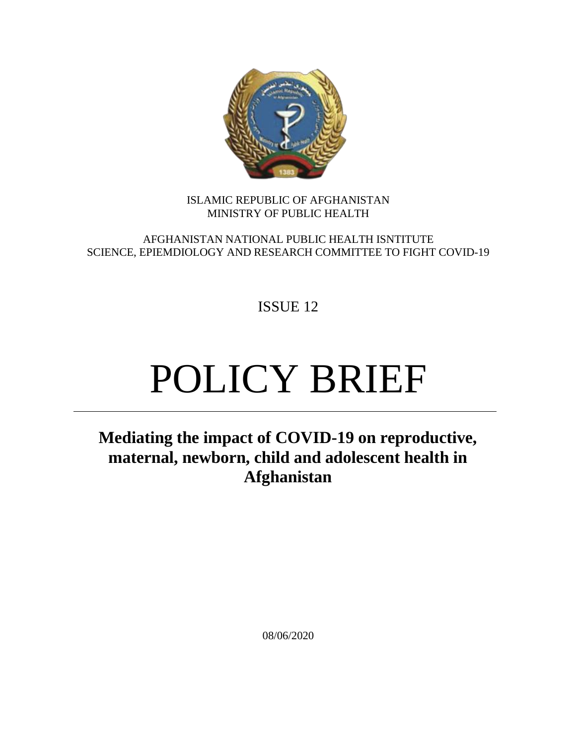

## ISLAMIC REPUBLIC OF AFGHANISTAN MINISTRY OF PUBLIC HEALTH

AFGHANISTAN NATIONAL PUBLIC HEALTH ISNTITUTE SCIENCE, EPIEMDIOLOGY AND RESEARCH COMMITTEE TO FIGHT COVID-19

ISSUE 12

# POLICY BRIEF

**Mediating the impact of COVID-19 on reproductive, maternal, newborn, child and adolescent health in Afghanistan**

08/06/2020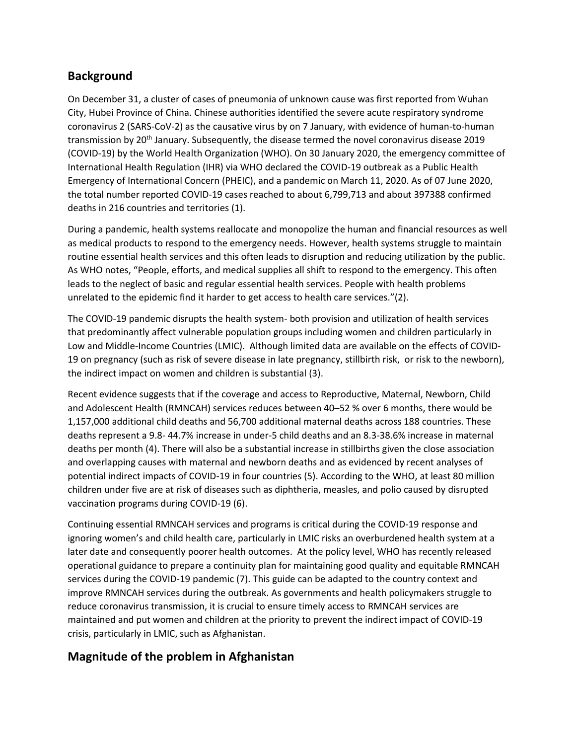# **Background**

On December 31, a cluster of cases of pneumonia of unknown cause was first reported from Wuhan City, Hubei Province of China. Chinese authorities identified the severe acute respiratory syndrome coronavirus 2 (SARS-CoV-2) as the causative virus by on 7 January, with evidence of human-to-human transmission by 20<sup>th</sup> January. Subsequently, the disease termed the novel coronavirus disease 2019 (COVID-19) by the World Health Organization (WHO). On 30 January 2020, the emergency committee of International Health Regulation (IHR) via WHO declared the COVID-19 outbreak as a Public Health Emergency of International Concern (PHEIC), and a pandemic on March 11, 2020. As of 07 June 2020, the total number reported COVID-19 cases reached to about 6,799,713 and about 397388 confirmed deaths in 216 countries and territories (1).

During a pandemic, health systems reallocate and monopolize the human and financial resources as well as medical products to respond to the emergency needs. However, health systems struggle to maintain routine essential health services and this often leads to disruption and reducing utilization by the public. As WHO notes, "People, efforts, and medical supplies all shift to respond to the emergency. This often leads to the neglect of basic and regular essential health services. People with health problems unrelated to the epidemic find it harder to get access to health care services."(2).

The COVID-19 pandemic disrupts the health system- both provision and utilization of health services that predominantly affect vulnerable population groups including women and children particularly in Low and Middle-Income Countries (LMIC). Although limited data are available on the effects of COVID-19 on pregnancy (such as risk of severe disease in late pregnancy, stillbirth risk, or risk to the newborn), the indirect impact on women and children is substantial (3).

Recent evidence suggests that if the coverage and access to Reproductive, Maternal, Newborn, Child and Adolescent Health (RMNCAH) services reduces between 40–52 % over 6 months, there would be 1,157,000 additional child deaths and 56,700 additional maternal deaths across 188 countries. These deaths represent a 9.8- 44.7% increase in under-5 child deaths and an 8.3-38.6% increase in maternal deaths per month (4). There will also be a substantial increase in stillbirths given the close association and overlapping causes with maternal and newborn deaths and as evidenced by recent analyses of potential indirect impacts of COVID-19 in four countries (5). According to the WHO, at least 80 million children under five are at risk of diseases such as diphtheria, measles, and polio caused by disrupted vaccination programs during COVID-19 (6).

Continuing essential RMNCAH services and programs is critical during the COVID-19 response and ignoring women's and child health care, particularly in LMIC risks an overburdened health system at a later date and consequently poorer health outcomes. At the policy level, WHO has recently released operational guidance to prepare a continuity plan for maintaining good quality and equitable RMNCAH services during the COVID-19 pandemic (7). This guide can be adapted to the country context and improve RMNCAH services during the outbreak. As governments and health policymakers struggle to reduce coronavirus transmission, it is crucial to ensure timely access to RMNCAH services are maintained and put women and children at the priority to prevent the indirect impact of COVID-19 crisis, particularly in LMIC, such as Afghanistan.

# **Magnitude of the problem in Afghanistan**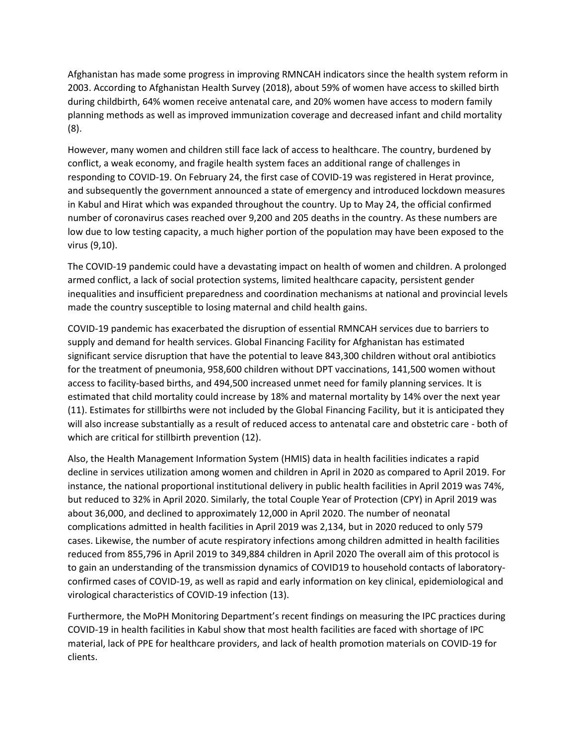Afghanistan has made some progress in improving RMNCAH indicators since the health system reform in 2003. According to Afghanistan Health Survey (2018), about 59% of women have access to skilled birth during childbirth, 64% women receive antenatal care, and 20% women have access to modern family planning methods as well as improved immunization coverage and decreased infant and child mortality (8).

However, many women and children still face lack of access to healthcare. The country, burdened by conflict, a weak economy, and fragile health system faces an additional range of challenges in responding to COVID-19. On February 24, the first case of COVID-19 was registered in Herat province, and subsequently the government announced a state of emergency and introduced lockdown measures in Kabul and Hirat which was expanded throughout the country. Up to May 24, the official confirmed number of coronavirus cases reached over 9,200 and 205 deaths in the country. As these numbers are low due to low testing capacity, a much higher portion of the population may have been exposed to the virus (9,10).

The COVID-19 pandemic could have a devastating impact on health of women and children. A prolonged armed conflict, a lack of social protection systems, limited healthcare capacity, persistent gender inequalities and insufficient preparedness and coordination mechanisms at national and provincial levels made the country susceptible to losing maternal and child health gains.

COVID-19 pandemic has exacerbated the disruption of essential RMNCAH services due to barriers to supply and demand for health services. Global Financing Facility for Afghanistan has estimated significant service disruption that have the potential to leave 843,300 children without oral antibiotics for the treatment of pneumonia, 958,600 children without DPT vaccinations, 141,500 women without access to facility-based births, and 494,500 increased unmet need for family planning services. It is estimated that child mortality could increase by 18% and maternal mortality by 14% over the next year (11). Estimates for stillbirths were not included by the Global Financing Facility, but it is anticipated they will also increase substantially as a result of reduced access to antenatal care and obstetric care - both of which are critical for stillbirth prevention (12).

Also, the Health Management Information System (HMIS) data in health facilities indicates a rapid decline in services utilization among women and children in April in 2020 as compared to April 2019. For instance, the national proportional institutional delivery in public health facilities in April 2019 was 74%, but reduced to 32% in April 2020. Similarly, the total Couple Year of Protection (CPY) in April 2019 was about 36,000, and declined to approximately 12,000 in April 2020. The number of neonatal complications admitted in health facilities in April 2019 was 2,134, but in 2020 reduced to only 579 cases. Likewise, the number of acute respiratory infections among children admitted in health facilities reduced from 855,796 in April 2019 to 349,884 children in April 2020 The overall aim of this protocol is to gain an understanding of the transmission dynamics of COVID19 to household contacts of laboratoryconfirmed cases of COVID-19, as well as rapid and early information on key clinical, epidemiological and virological characteristics of COVID-19 infection (13).

Furthermore, the MoPH Monitoring Department's recent findings on measuring the IPC practices during COVID-19 in health facilities in Kabul show that most health facilities are faced with shortage of IPC material, lack of PPE for healthcare providers, and lack of health promotion materials on COVID-19 for clients.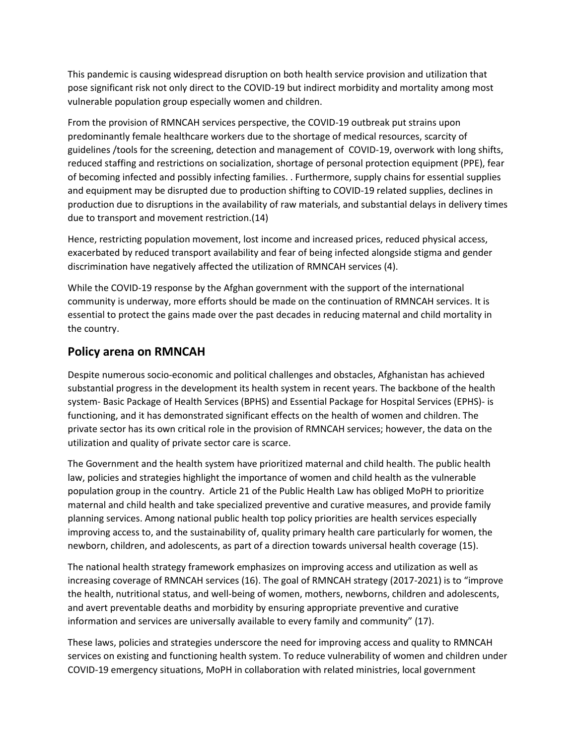This pandemic is causing widespread disruption on both health service provision and utilization that pose significant risk not only direct to the COVID-19 but indirect morbidity and mortality among most vulnerable population group especially women and children.

From the provision of RMNCAH services perspective, the COVID-19 outbreak put strains upon predominantly female healthcare workers due to the shortage of medical resources, scarcity of guidelines /tools for the screening, detection and management of COVID-19, overwork with long shifts, reduced staffing and restrictions on socialization, shortage of personal protection equipment (PPE), fear of becoming infected and possibly infecting families. . Furthermore, supply chains for essential supplies and equipment may be disrupted due to production shifting to COVID-19 related supplies, declines in production due to disruptions in the availability of raw materials, and substantial delays in delivery times due to transport and movement restriction.(14)

Hence, restricting population movement, lost income and increased prices, reduced physical access, exacerbated by reduced transport availability and fear of being infected alongside stigma and gender discrimination have negatively affected the utilization of RMNCAH services (4).

While the COVID-19 response by the Afghan government with the support of the international community is underway, more efforts should be made on the continuation of RMNCAH services. It is essential to protect the gains made over the past decades in reducing maternal and child mortality in the country.

## **Policy arena on RMNCAH**

Despite numerous socio-economic and political challenges and obstacles, Afghanistan has achieved substantial progress in the development its health system in recent years. The backbone of the health system- Basic Package of Health Services (BPHS) and Essential Package for Hospital Services (EPHS)- is functioning, and it has demonstrated significant effects on the health of women and children. The private sector has its own critical role in the provision of RMNCAH services; however, the data on the utilization and quality of private sector care is scarce.

The Government and the health system have prioritized maternal and child health. The public health law, policies and strategies highlight the importance of women and child health as the vulnerable population group in the country. Article 21 of the Public Health Law has obliged MoPH to prioritize maternal and child health and take specialized preventive and curative measures, and provide family planning services. Among national public health top policy priorities are health services especially improving access to, and the sustainability of, quality primary health care particularly for women, the newborn, children, and adolescents, as part of a direction towards universal health coverage (15).

The national health strategy framework emphasizes on improving access and utilization as well as increasing coverage of RMNCAH services (16). The goal of RMNCAH strategy (2017-2021) is to "improve the health, nutritional status, and well-being of women, mothers, newborns, children and adolescents, and avert preventable deaths and morbidity by ensuring appropriate preventive and curative information and services are universally available to every family and community" (17).

These laws, policies and strategies underscore the need for improving access and quality to RMNCAH services on existing and functioning health system. To reduce vulnerability of women and children under COVID-19 emergency situations, MoPH in collaboration with related ministries, local government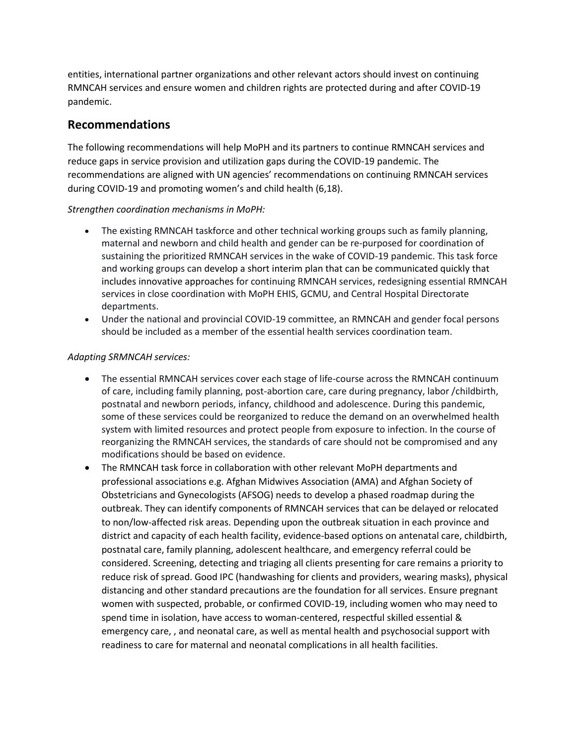entities, international partner organizations and other relevant actors should invest on continuing RMNCAH services and ensure women and children rights are protected during and after COVID-19 pandemic.

## **Recommendations**

The following recommendations will help MoPH and its partners to continue RMNCAH services and reduce gaps in service provision and utilization gaps during the COVID-19 pandemic. The recommendations are aligned with UN agencies' recommendations on continuing RMNCAH services during COVID-19 and promoting women's and child health (6,18).

#### *Strengthen coordination mechanisms in MoPH:*

- The existing RMNCAH taskforce and other technical working groups such as family planning, maternal and newborn and child health and gender can be re-purposed for coordination of sustaining the prioritized RMNCAH services in the wake of COVID-19 pandemic. This task force and working groups can develop a short interim plan that can be communicated quickly that includes innovative approaches for continuing RMNCAH services, redesigning essential RMNCAH services in close coordination with MoPH EHIS, GCMU, and Central Hospital Directorate departments.
- Under the national and provincial COVID-19 committee, an RMNCAH and gender focal persons should be included as a member of the essential health services coordination team.

#### *Adapting SRMNCAH services:*

- The essential RMNCAH services cover each stage of life-course across the RMNCAH continuum of care, including family planning, post-abortion care, care during pregnancy, labor /childbirth, postnatal and newborn periods, infancy, childhood and adolescence. During this pandemic, some of these services could be reorganized to reduce the demand on an overwhelmed health system with limited resources and protect people from exposure to infection. In the course of reorganizing the RMNCAH services, the standards of care should not be compromised and any modifications should be based on evidence.
- The RMNCAH task force in collaboration with other relevant MoPH departments and professional associations e.g. Afghan Midwives Association (AMA) and Afghan Society of Obstetricians and Gynecologists (AFSOG) needs to develop a phased roadmap during the outbreak. They can identify components of RMNCAH services that can be delayed or relocated to non/low-affected risk areas. Depending upon the outbreak situation in each province and district and capacity of each health facility, evidence-based options on antenatal care, childbirth, postnatal care, family planning, adolescent healthcare, and emergency referral could be considered. Screening, detecting and triaging all clients presenting for care remains a priority to reduce risk of spread. Good IPC (handwashing for clients and providers, wearing masks), physical distancing and other standard precautions are the foundation for all services. Ensure pregnant women with suspected, probable, or confirmed COVID-19, including women who may need to spend time in isolation, have access to woman-centered, respectful skilled essential & emergency care, , and neonatal care, as well as mental health and psychosocial support with readiness to care for maternal and neonatal complications in all health facilities.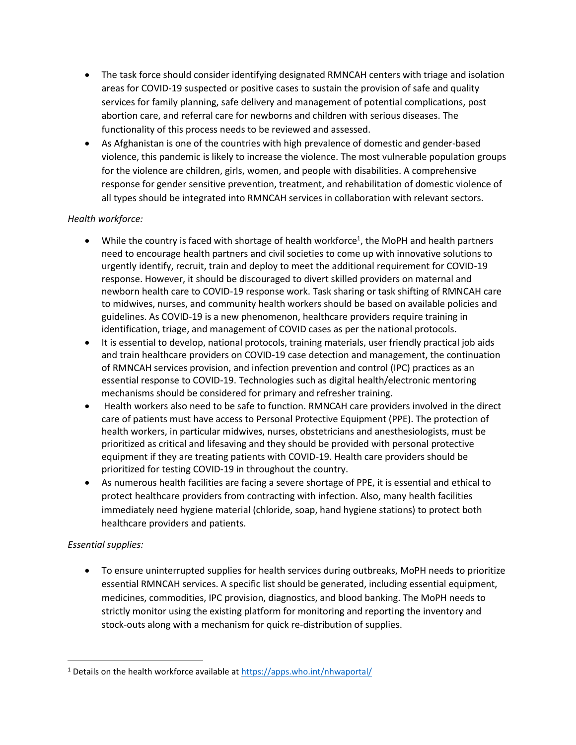- The task force should consider identifying designated RMNCAH centers with triage and isolation areas for COVID-19 suspected or positive cases to sustain the provision of safe and quality services for family planning, safe delivery and management of potential complications, post abortion care, and referral care for newborns and children with serious diseases. The functionality of this process needs to be reviewed and assessed.
- As Afghanistan is one of the countries with high prevalence of domestic and gender-based violence, this pandemic is likely to increase the violence. The most vulnerable population groups for the violence are children, girls, women, and people with disabilities. A comprehensive response for gender sensitive prevention, treatment, and rehabilitation of domestic violence of all types should be integrated into RMNCAH services in collaboration with relevant sectors.

#### *Health workforce:*

- While the country is faced with shortage of health workforce<sup>1</sup>, the MoPH and health partners need to encourage health partners and civil societies to come up with innovative solutions to urgently identify, recruit, train and deploy to meet the additional requirement for COVID-19 response. However, it should be discouraged to divert skilled providers on maternal and newborn health care to COVID-19 response work. Task sharing or task shifting of RMNCAH care to midwives, nurses, and community health workers should be based on available policies and guidelines. As COVID-19 is a new phenomenon, healthcare providers require training in identification, triage, and management of COVID cases as per the national protocols.
- It is essential to develop, national protocols, training materials, user friendly practical job aids and train healthcare providers on COVID-19 case detection and management, the continuation of RMNCAH services provision, and infection prevention and control (IPC) practices as an essential response to COVID-19. Technologies such as digital health/electronic mentoring mechanisms should be considered for primary and refresher training.
- Health workers also need to be safe to function. RMNCAH care providers involved in the direct care of patients must have access to Personal Protective Equipment (PPE). The protection of health workers, in particular midwives, nurses, obstetricians and anesthesiologists, must be prioritized as critical and lifesaving and they should be provided with personal protective equipment if they are treating patients with COVID-19. Health care providers should be prioritized for testing COVID-19 in throughout the country.
- As numerous health facilities are facing a severe shortage of PPE, it is essential and ethical to protect healthcare providers from contracting with infection. Also, many health facilities immediately need hygiene material (chloride, soap, hand hygiene stations) to protect both healthcare providers and patients.

#### *Essential supplies:*

• To ensure uninterrupted supplies for health services during outbreaks, MoPH needs to prioritize essential RMNCAH services. A specific list should be generated, including essential equipment, medicines, commodities, IPC provision, diagnostics, and blood banking. The MoPH needs to strictly monitor using the existing platform for monitoring and reporting the inventory and stock-outs along with a mechanism for quick re-distribution of supplies.

<sup>&</sup>lt;sup>1</sup> Details on the health workforce available at<https://apps.who.int/nhwaportal/>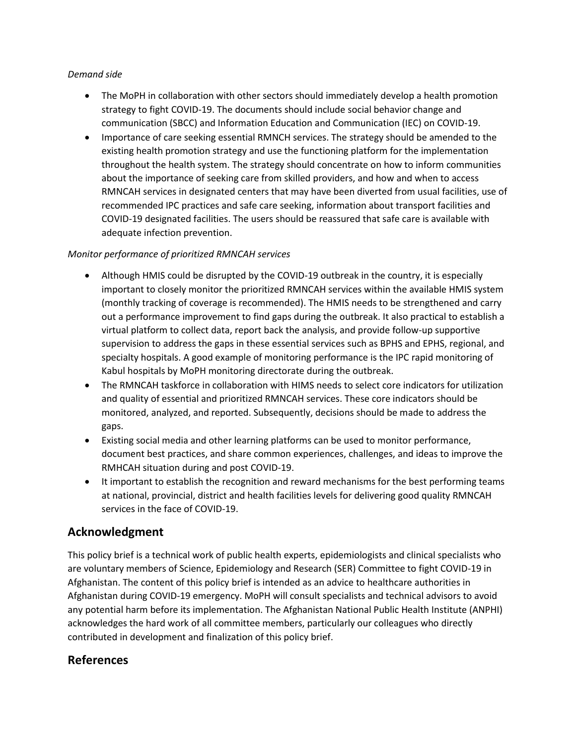#### *Demand side*

- The MoPH in collaboration with other sectors should immediately develop a health promotion strategy to fight COVID-19. The documents should include social behavior change and communication (SBCC) and Information Education and Communication (IEC) on COVID-19.
- Importance of care seeking essential RMNCH services. The strategy should be amended to the existing health promotion strategy and use the functioning platform for the implementation throughout the health system. The strategy should concentrate on how to inform communities about the importance of seeking care from skilled providers, and how and when to access RMNCAH services in designated centers that may have been diverted from usual facilities, use of recommended IPC practices and safe care seeking, information about transport facilities and COVID-19 designated facilities. The users should be reassured that safe care is available with adequate infection prevention.

#### *Monitor performance of prioritized RMNCAH services*

- Although HMIS could be disrupted by the COVID-19 outbreak in the country, it is especially important to closely monitor the prioritized RMNCAH services within the available HMIS system (monthly tracking of coverage is recommended). The HMIS needs to be strengthened and carry out a performance improvement to find gaps during the outbreak. It also practical to establish a virtual platform to collect data, report back the analysis, and provide follow-up supportive supervision to address the gaps in these essential services such as BPHS and EPHS, regional, and specialty hospitals. A good example of monitoring performance is the IPC rapid monitoring of Kabul hospitals by MoPH monitoring directorate during the outbreak.
- The RMNCAH taskforce in collaboration with HIMS needs to select core indicators for utilization and quality of essential and prioritized RMNCAH services. These core indicators should be monitored, analyzed, and reported. Subsequently, decisions should be made to address the gaps.
- Existing social media and other learning platforms can be used to monitor performance, document best practices, and share common experiences, challenges, and ideas to improve the RMHCAH situation during and post COVID-19.
- It important to establish the recognition and reward mechanisms for the best performing teams at national, provincial, district and health facilities levels for delivering good quality RMNCAH services in the face of COVID-19.

## **Acknowledgment**

This policy brief is a technical work of public health experts, epidemiologists and clinical specialists who are voluntary members of Science, Epidemiology and Research (SER) Committee to fight COVID-19 in Afghanistan. The content of this policy brief is intended as an advice to healthcare authorities in Afghanistan during COVID-19 emergency. MoPH will consult specialists and technical advisors to avoid any potential harm before its implementation. The Afghanistan National Public Health Institute (ANPHI) acknowledges the hard work of all committee members, particularly our colleagues who directly contributed in development and finalization of this policy brief.

### **References**